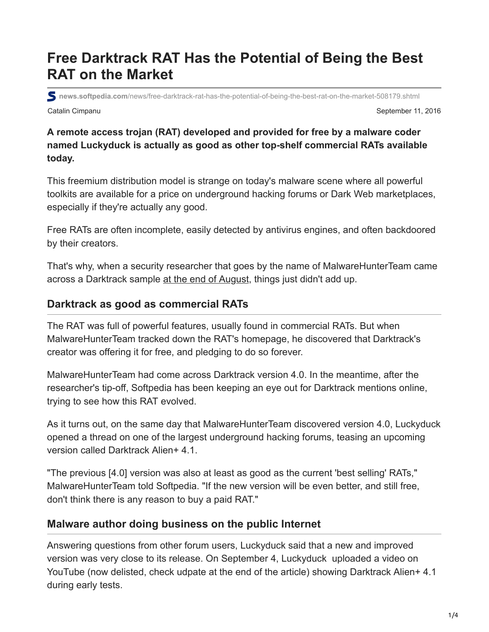# **Free Darktrack RAT Has the Potential of Being the Best RAT on the Market**

Catalin Cimpanu September 11, 2016 **news.softpedia.com**[/news/free-darktrack-rat-has-the-potential-of-being-the-best-rat-on-the-market-508179.shtml](http://news.softpedia.com/news/free-darktrack-rat-has-the-potential-of-being-the-best-rat-on-the-market-508179.shtml)

**A remote access trojan (RAT) developed and provided for free by a malware coder named Luckyduck is actually as good as other top-shelf commercial RATs available today.**

This freemium distribution model is strange on today's malware scene where all powerful toolkits are available for a price on underground hacking forums or Dark Web marketplaces, especially if they're actually any good.

Free RATs are often incomplete, easily detected by antivirus engines, and often backdoored by their creators.

That's why, when a security researcher that goes by the name of MalwareHunterTeam came across a Darktrack sample [at the end of August,](https://twitter.com/malwrhunterteam/status/770690289401028608) things just didn't add up.

## **Darktrack as good as commercial RATs**

The RAT was full of powerful features, usually found in commercial RATs. But when MalwareHunterTeam tracked down the RAT's homepage, he discovered that Darktrack's creator was offering it for free, and pledging to do so forever.

MalwareHunterTeam had come across Darktrack version 4.0. In the meantime, after the researcher's tip-off, Softpedia has been keeping an eye out for Darktrack mentions online, trying to see how this RAT evolved.

As it turns out, on the same day that MalwareHunterTeam discovered version 4.0, Luckyduck opened a thread on one of the largest underground hacking forums, teasing an upcoming version called Darktrack Alien+ 4.1.

"The previous [4.0] version was also at least as good as the current 'best selling' RATs," MalwareHunterTeam told Softpedia. "If the new version will be even better, and still free, don't think there is any reason to buy a paid RAT."

## **Malware author doing business on the public Internet**

Answering questions from other forum users, Luckyduck said that a new and improved version was very close to its release. On September 4, Luckyduck uploaded a video on YouTube (now delisted, check udpate at the end of the article) showing Darktrack Alien+ 4.1 during early tests.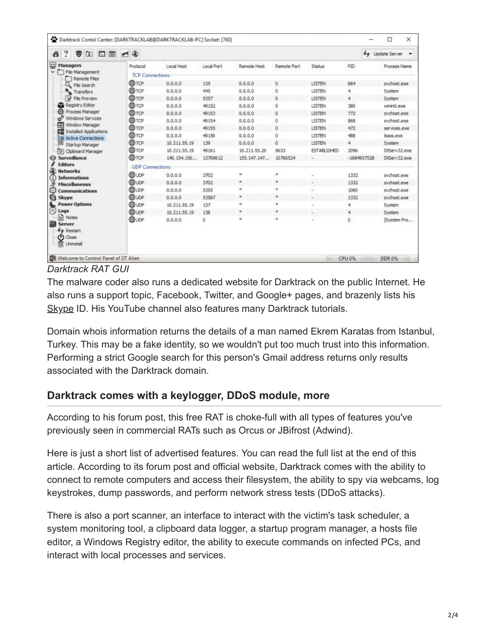| $\overline{\cdot}$<br><b>VDE 40</b><br>ő |                        |              |            |                    |                    |                    | $f_{+}$       | <b>Update Server</b> |
|------------------------------------------|------------------------|--------------|------------|--------------------|--------------------|--------------------|---------------|----------------------|
| ⊕<br><b>Managers</b>                     | Protocol               | Local Host   | Local Port | <b>Remote Host</b> | <b>Remote Port</b> | Status             | PID           | Process Name         |
| File Management<br>$\checkmark$          | <b>TCP Connections</b> |              |            |                    |                    |                    |               |                      |
| <b>Remote Files</b><br>File Search       | ⊕тср                   | 0.0.0.0      | 135        | 0.0.0.0            | 0                  | LISTEN             | 684           | sychost.exe          |
| Transfers                                | <b>OD</b> TOP          | 0.0.0.0      | 445        | 0.0.0.0            | Ō                  | LISTEN             | 4             | System               |
| File Preview                             | Фтор                   | 0.0.0.0      | 5357       | 0.0.0.0            | 0                  | LISTEN             | 4             | System               |
| Registry Editor                          | <b>O</b> TOP           | 0.0.0.0      | 49152      | 0.0.0.0            | Ű                  | <b>LISTEN</b>      | 380           | wininit, exe         |
| Ö<br>Process Manager                     | <b>O</b> TOP           | 0.0.0.0      | 49153      | 0.0.0.0            | o                  | LISTEN             | 772           | sychost.exe          |
| o <sup>o</sup><br>Windows Services       | ⊕тс                    | 0.0.0.0      | 49154      | 0.0.0.0            | 0                  | LISTEN             | 868           | sychost.exe          |
| ⊞<br>Window Manager                      | <b>OD</b> TCP          | 0.0.0.0      | 49155      | 0.0.0.0            | ٥                  | LISTEN             | 472           | services, exe        |
| <b>Installed Applications</b>            | ⊕TCP                   | 0.0.0.0      | 49156      | 0.0.0.0            | 0                  | LISTEN             | 488           | sass.exe             |
| <b>Active Connections</b>                | ⊕TCP                   | 10.211.55.19 | 139        | 0.0.0.0            | 0                  | LISTEN             | 4             | System               |
| Startup Manager<br>[6] Cipboard Manager  | ⊕rœ                    | 10.211.55.19 | 49161      | 10.211.55.20       | 9633               | <b>ESTABLISHED</b> | 2096          | DtServ32.exe         |
| <b>Surveillance</b>                      | ФТОР                   | 140.154.156  | 13769612   | 155.147.147        | 10766524           |                    | $-1684957528$ | DtServ32.exe         |
| <b>Editors</b>                           |                        |              |            |                    |                    |                    |               |                      |
| <b>Networks</b>                          | <b>UDP Connections</b> |              |            |                    |                    |                    |               |                      |
| <b>Informations</b>                      | <b>BUDP</b>            | 0.0.0.0      | 3702       | ÷                  | ٠                  |                    | 1332          | sychost.exe          |
| <b>Miscellaneous</b>                     | <b>ED</b> LOP          | 0.0.0.0      | 3702       | ×                  | ×                  |                    | 1332          | sychost.exe          |
| $\cdots$<br>Communications               | <b>ODUDP</b>           | 0.0.0.0      | 5355       | ۰                  | ٠                  |                    | 1060          | sychost.exe          |
| Ø<br><b>Skype</b>                        | <b>OD</b> LOP          | 0.0.0.0      | 53587      | ×                  | ×                  |                    | 1332          | sychost.exe          |
| <b>Power Options</b>                     | <b>Buor</b>            | 10.211.55.19 | 137        | $\blacksquare$     | ٠                  |                    |               | System               |
| Ξ<br>Logs<br>A Notes                     | <b>OD</b> LOP          | 10.211.55.19 | 138        | ٠                  | ٠                  |                    | 4             | System               |
| Server                                   | <b>ED</b> LOP          | 0.0.0.0      | 0          | ×                  | $\infty$           |                    | Ō             | [System Pro          |
| <b>44 Restart</b>                        |                        |              |            |                    |                    |                    |               |                      |
| Close<br>ω<br>Uninstall                  |                        |              |            |                    |                    |                    |               |                      |

#### *Darktrack RAT GUI*

The malware coder also runs a dedicated website for Darktrack on the public Internet. He also runs a support topic, Facebook, Twitter, and Google+ pages, and brazenly lists his [Skype](https://www.softpedia.com/get/Office-tools/Fax-Telephony/Skype.shtml) ID. His YouTube channel also features many Darktrack tutorials.

Domain whois information returns the details of a man named Ekrem Karatas from Istanbul, Turkey. This may be a fake identity, so we wouldn't put too much trust into this information. Performing a strict Google search for this person's Gmail address returns only results associated with the Darktrack domain.

## **Darktrack comes with a keylogger, DDoS module, more**

According to his forum post, this free RAT is choke-full with all types of features you've previously seen in commercial RATs such as Orcus or JBifrost (Adwind).

Here is just a short list of advertised features. You can read the full list at the end of this article. According to its forum post and official website, Darktrack comes with the ability to connect to remote computers and access their filesystem, the ability to spy via webcams, log keystrokes, dump passwords, and perform network stress tests (DDoS attacks).

There is also a port scanner, an interface to interact with the victim's task scheduler, a system monitoring tool, a clipboard data logger, a startup program manager, a hosts file editor, a Windows Registry editor, the ability to execute commands on infected PCs, and interact with local processes and services.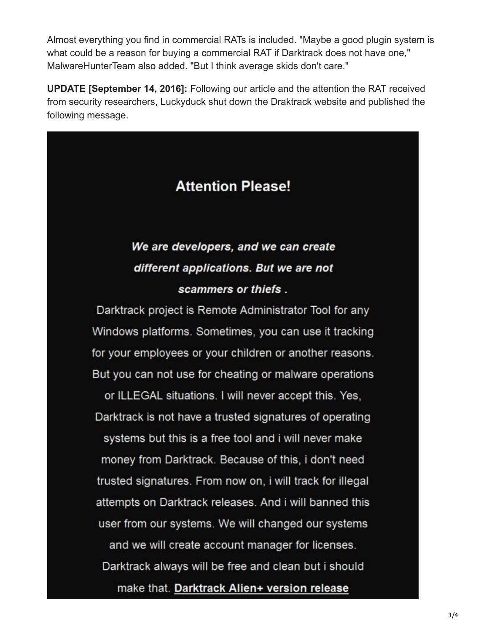Almost everything you find in commercial RATs is included. "Maybe a good plugin system is what could be a reason for buying a commercial RAT if Darktrack does not have one," MalwareHunterTeam also added. "But I think average skids don't care."

**UPDATE [September 14, 2016]:** Following our article and the attention the RAT received from security researchers, Luckyduck shut down the Draktrack website and published the following message.

# **Attention Please!**

# We are developers, and we can create different applications. But we are not scammers or thiefs.

Darktrack project is Remote Administrator Tool for any Windows platforms. Sometimes, you can use it tracking for your employees or your children or another reasons. But you can not use for cheating or malware operations or ILLEGAL situations. I will never accept this. Yes, Darktrack is not have a trusted signatures of operating systems but this is a free tool and i will never make money from Darktrack. Because of this, i don't need trusted signatures. From now on, i will track for illegal attempts on Darktrack releases. And i will banned this user from our systems. We will changed our systems and we will create account manager for licenses. Darktrack always will be free and clean but i should make that. Darktrack Alien+ version release